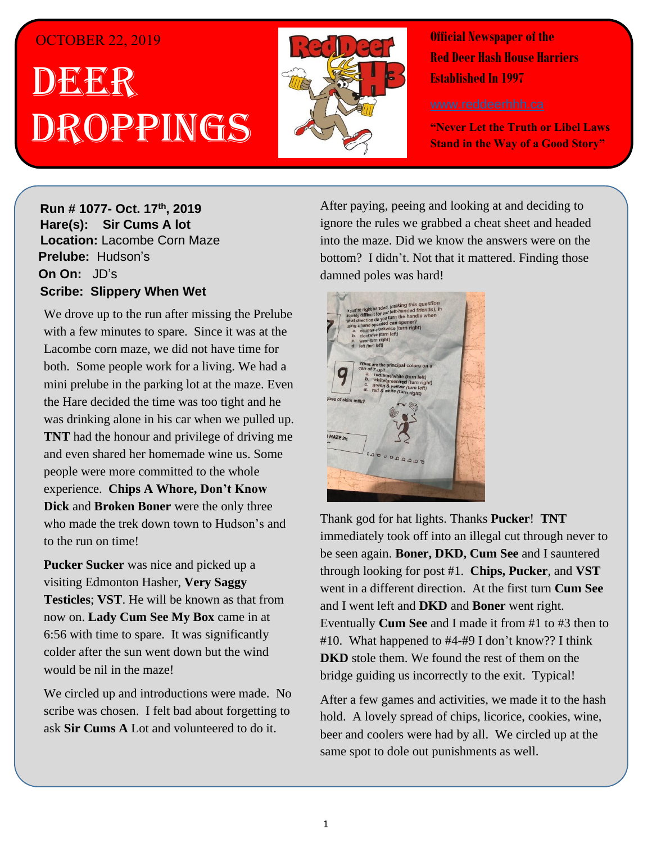### OCTOBER 22, 2019

# . 1 DEER h  $\overline{\phantom{a}}$ Droppings



**Official Newspaper of the Red Deer Hash House Harriers Established In 1997** 

**"Never Let the Truth or Libel Laws Stand in the Way of a Good Story"**

#### **Run # 1075- Oct. 3 rd, 2019 H**arel **Run # 1077-** Oct. 17<sup>th</sup>, 2019 **virgin friend Hare(s): Sir Cums A lot Location: Lacombe Corn Maze Prelube:** Hudson's **On On:** JD's **Sir Sir Chips And Whore** *Have Slippery When Wet Hard day of <b>Scribe: Slippery When Wet*

We drove up to the run after missing the Prelube with a few minutes to spare. Since it was at the both. Some people work for a living. We had a mini prelube in the parking lot at the maze. Even the Hare decided the time was too tight and he was drinking alone in his car when we pulled up. **TNT** had the honour and privilege of driving me **Mobel were more committed to the whole Throat.** experience. **Chips A Whore, Don't Know Dick** and **Broken Boner** were the only three *gospel that come the run is well to that the run on time!* Lacombe corn maze, we did not have time for and even shared her homemade wine us. Some who made the trek down town to Hudson's and

visiting Edmonton Hasher, **Very Saggy Testicles**; **VST**. He will be known as that from now on. **Lady Cum See My Box** came in at  $\frac{1}{2}$   $\frac{1}{2}$   $\frac{1}{2}$   $\frac{1}{2}$   $\frac{1}{2}$   $\frac{1}{2}$   $\frac{1}{2}$   $\frac{1}{2}$   $\frac{1}{2}$   $\frac{1}{2}$   $\frac{1}{2}$   $\frac{1}{2}$   $\frac{1}{2}$   $\frac{1}{2}$   $\frac{1}{2}$   $\frac{1}{2}$   $\frac{1}{2}$   $\frac{1}{2}$   $\frac{1}{2}$   $\frac{1}{2}$   $\frac{1}{2}$   $\frac{1}{2}$  would be nil in the maze! **Pucker Sucker** was nice and picked up a 6:56 with time to spare. It was significantly colder after the sun went down but the wind

scribe was chosen. I felt bad about forgetting to ask **Sir Cums A** Lot and volunteered to do it. We circled up and introductions were made. No

After paying, peeing and looking at and deciding to ignore the rules we grabbed a cheat sheet and headed into the maze. Did we know the answers were on the damned poles was hard! When I was well was well was well with the set of the set of the set of the set of the set of the set of the set of the set of the set of the set of the set of the set of the set of the set of the se bottom? I didn't. Not that it mattered. Finding those



Thank god for hat lights. Thanks **Pucker! TNT** immediately took off into an illegal cut through never to be seen again. Boner, DKD, Cum See and I sauntered through looking for post #1. Chips, Pucker, and VST *Have you ever been on a Hash Trail with so much flour*  and I went left and **DKD** and **Boner** went right. Eventually **Cum See** and I made it from #1 to #3 then to #10. What happened to #4-#9 I don't know?? I think **DKD** stole them. We found the rest of them on the went in a different direction. At the first turn **Cum See** bridge guiding us incorrectly to the exit. Typical!

After a few games and activities, we made it to the hash hold. A lovely spread of chips, licorice, cookies, wine, beer and coolers were had by all. We circled up at the same spot to dole out punishments as well.